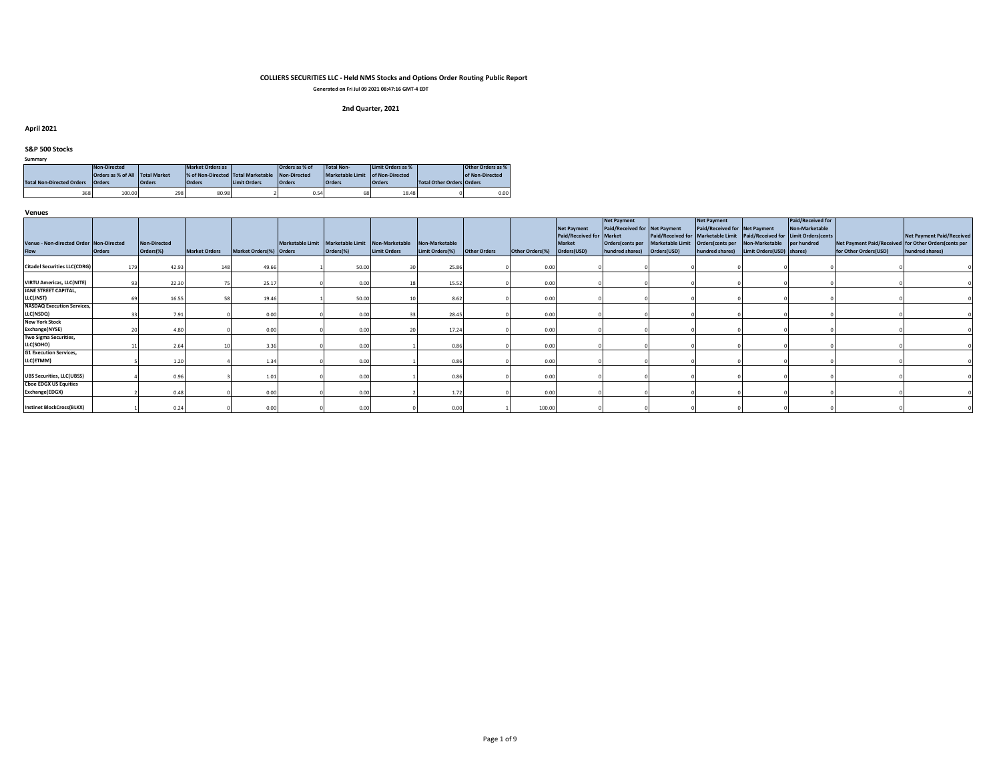**Generated on Fri Jul 09 2021 08:47:16 GMT-4 EDT**

# **2nd Quarter, 2021**

#### **April 2021**

#### **S&P 500 Stocks**

| Summary |
|---------|
|---------|

|                                  | Non-Directed                    |               | Market Orders as                   |                     | Orders as % of | Total Non-                       | Limit Orders as % |                                  | Other Orders as % |  |
|----------------------------------|---------------------------------|---------------|------------------------------------|---------------------|----------------|----------------------------------|-------------------|----------------------------------|-------------------|--|
|                                  | Orders as % of All Total Market |               | % of Non-Directed Total Marketable |                     | Non-Directed   | Marketable Limit of Non-Directed |                   |                                  | of Non-Directed   |  |
| <b>Total Non-Directed Orders</b> | <b>Orders</b>                   | <b>Orders</b> | <b>Orders</b>                      | <b>Limit Orders</b> | <b>Orders</b>  | <b>Orders</b>                    | <b>Orders</b>     | <b>Total Other Orders Orders</b> |                   |  |
|                                  |                                 |               |                                    |                     |                |                                  |                   |                                  |                   |  |

### **Venues**

|                                                |               |                     |                      |                         |                                                  |                     |                 |                     |                 | <b>Net Payment</b>       | <b>Net Payment</b><br>Paid/Received for Net Payment |                                                  | Net Payment<br>Paid/Received for Net Payment |                                                                         | <b>Paid/Received for</b><br>Non-Marketable |                                                      |                                  |
|------------------------------------------------|---------------|---------------------|----------------------|-------------------------|--------------------------------------------------|---------------------|-----------------|---------------------|-----------------|--------------------------|-----------------------------------------------------|--------------------------------------------------|----------------------------------------------|-------------------------------------------------------------------------|--------------------------------------------|------------------------------------------------------|----------------------------------|
|                                                |               |                     |                      |                         |                                                  |                     |                 |                     |                 | Paid/Received for Market |                                                     |                                                  |                                              | Paid/Received for Marketable Limit Paid/Received for Limit Orders(cents |                                            |                                                      | <b>Net Payment Paid/Received</b> |
| Venue - Non-directed Order Non-Directed        |               | <b>Non-Directed</b> |                      |                         | Marketable Limit Marketable Limit Non-Marketable |                     | Non-Marketable  |                     |                 | <b>Market</b>            | Orders(cents per                                    | Marketable Limit Orders(cents per Non-Marketable |                                              |                                                                         | per hundred                                | Net Payment Paid/Received for Other Orders(cents per |                                  |
| <b>Flow</b>                                    | <b>Orders</b> | Orders(%)           | <b>Market Orders</b> | Market Orders(%) Orders | Orders(%)                                        | <b>Limit Orders</b> | Limit Orders(%) | <b>Other Orders</b> | Other Orders(%) | Orders(USD)              | hundred shares)                                     | Orders(USD)                                      | hundred shares)                              | Limit Orders(USD) shares)                                               |                                            | for Other Orders(USD)                                | hundred shares)                  |
| <b>Citadel Securities LLC(CDRG)</b>            |               | 42.93               |                      | 49.66                   | 50.00                                            |                     | 25.86           |                     | 0.00            |                          |                                                     |                                                  |                                              |                                                                         |                                            |                                                      |                                  |
| <b>VIRTU Americas, LLC(NITE)</b>               |               | 22.30               |                      | 25.17                   | 0.00                                             |                     | 15.52           |                     | 0.00            |                          |                                                     |                                                  |                                              |                                                                         |                                            |                                                      |                                  |
| <b>JANE STREET CAPITAL,</b><br>LLC(JNST)       |               | 16.55               |                      | 19.46                   | 50.00                                            |                     | 8.6             |                     | 0.00            |                          |                                                     |                                                  |                                              |                                                                         |                                            |                                                      |                                  |
| <b>NASDAQ Execution Services,</b><br>LLC(NSDQ) |               | 7.91                |                      | 0.00                    | 0.00                                             |                     | 28.4            |                     | 0.00            |                          |                                                     |                                                  |                                              |                                                                         |                                            |                                                      |                                  |
| <b>New York Stock</b><br>Exchange(NYSE)        |               | 4.80                |                      | 0.00                    | 0.00                                             |                     | 17.24           |                     | 0.00            |                          |                                                     |                                                  |                                              |                                                                         |                                            |                                                      |                                  |
| Two Sigma Securities,<br>LLC(SOHO)             |               | 2.64                |                      | 3.36                    | 0.00                                             |                     | 0.86            |                     | 0.00            |                          |                                                     |                                                  |                                              |                                                                         |                                            |                                                      |                                  |
| <b>G1 Execution Services,</b><br>LLC(ETMM)     |               | 1.20                |                      | 1.34                    | 0.00                                             |                     | 0.86            |                     | 0.00            |                          |                                                     |                                                  |                                              |                                                                         |                                            |                                                      |                                  |
| <b>UBS Securities, LLC(UBSS)</b>               |               | 0.96                |                      | 1.01                    | 0.00                                             |                     | 0.81            |                     | 0.00            |                          |                                                     |                                                  |                                              |                                                                         |                                            |                                                      |                                  |
| <b>Choe EDGX US Equities</b><br>Exchange(EDGX) |               | 0.48                |                      | 0.00                    | 0.00                                             |                     | 1.7             |                     | 0.00            |                          |                                                     |                                                  |                                              |                                                                         |                                            |                                                      |                                  |
| <b>Instinet BlockCross(BLKX)</b>               |               | 0.24                |                      | 0.00                    | 0.00                                             |                     | 0.00            |                     | 100.00          |                          |                                                     |                                                  |                                              |                                                                         |                                            |                                                      |                                  |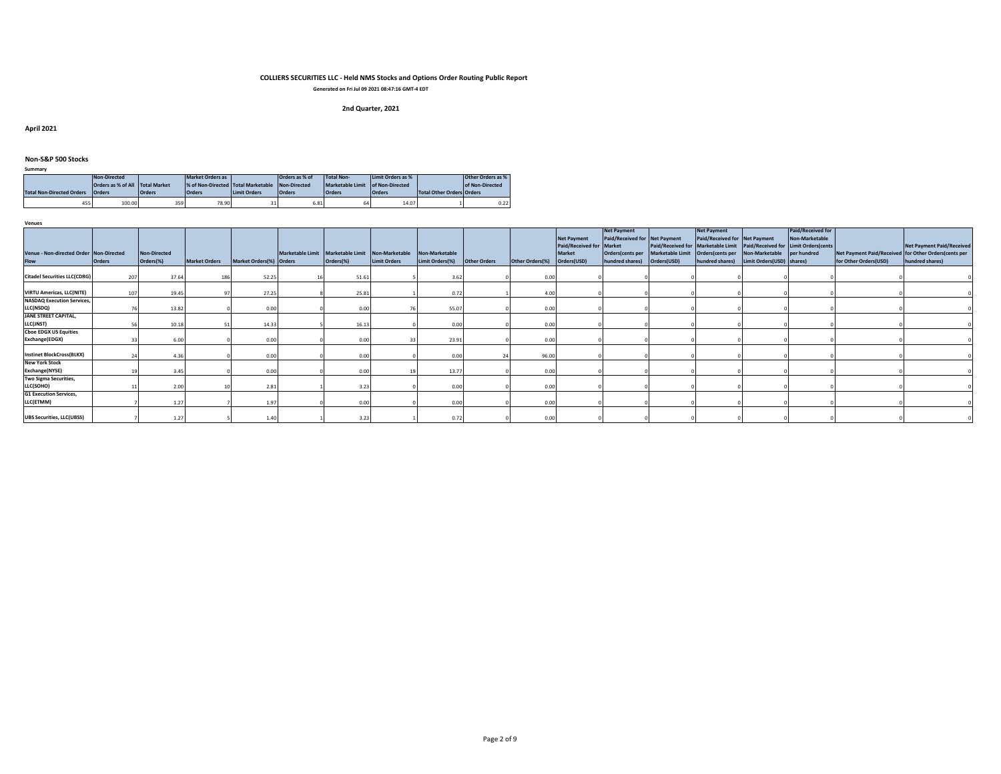**Generated on Fri Jul 09 2021 08:47:16 GMT-4 EDT**

# **2nd Quarter, 2021**

**April 2021**

#### **Non-S&P 500 Stocks**

| ____                             |                                 |               |                                    |                     |                |                                  |                   |                                  |                   |
|----------------------------------|---------------------------------|---------------|------------------------------------|---------------------|----------------|----------------------------------|-------------------|----------------------------------|-------------------|
|                                  | Non-Directed                    |               | Market Orders as                   |                     | Orders as % of | <b>Total Non-</b>                | Limit Orders as % |                                  | Other Orders as % |
|                                  | Orders as % of All Total Market |               | % of Non-Directed Total Marketable |                     | Non-Directed   | Marketable Limit of Non-Directed |                   |                                  | of Non-Directed   |
| <b>Total Non-Directed Orders</b> | <b>Orders</b>                   | <b>Orders</b> | <b>Orders</b>                      | <b>Limit Orders</b> | <b>Orders</b>  | <b>Orders</b>                    | <b>Orders</b>     | <b>Total Other Orders Orders</b> |                   |
| 455                              | 100.00                          | 359           | 78.90                              |                     | 6.81           | h                                | 14.07             |                                  | 0.22              |

**Venues**

**Summary**

| Venue - Non-directed Order Non-Directed<br><b>Flow</b> | <b>Orders</b> | Non-Directed<br>Orders(%) | <b>Market Orders</b> | Market Orders(%) Orders | Marketable Limit Marketable Limit Non-Marketable<br>Orders(%) | <b>Limit Orders</b> | Non-Marketable<br>Limit Orders(%) | <b>Other Orders</b> | Other Orders(%) | <b>Net Payment</b><br>Paid/Received for Market<br><b>Market</b><br>Orders(USD) | <b>Net Payment</b><br>Paid/Received for Net Payment<br>Orders(cents per<br>hundred shares) | Orders(USD) | <b>Net Payment</b><br>Paid/Received for Net Payment<br>Marketable Limit Orders(cents per Non-Marketable | Paid/Received for Marketable Limit Paid/Received for Limit Orders(cents<br>hundred shares) Limit Orders (USD) shares) | Paid/Received for<br>Non-Marketable<br>per hundred | Net Payment Paid/Received for Other Orders(cents per<br>for Other Orders(USD) | <b>Net Payment Paid/Received</b><br>hundred shares) |
|--------------------------------------------------------|---------------|---------------------------|----------------------|-------------------------|---------------------------------------------------------------|---------------------|-----------------------------------|---------------------|-----------------|--------------------------------------------------------------------------------|--------------------------------------------------------------------------------------------|-------------|---------------------------------------------------------------------------------------------------------|-----------------------------------------------------------------------------------------------------------------------|----------------------------------------------------|-------------------------------------------------------------------------------|-----------------------------------------------------|
| <b>Citadel Securities LLC(CDRG)</b>                    | 207           | 37.64                     |                      | 52.25                   | 51.61                                                         |                     | 3.6                               |                     | 0.00            |                                                                                |                                                                                            |             |                                                                                                         |                                                                                                                       |                                                    |                                                                               |                                                     |
| <b>VIRTU Americas, LLC(NITE)</b>                       | 107           | 19.45                     |                      | 27.25                   | 25.81                                                         |                     | 0.7                               |                     | 4.00            |                                                                                |                                                                                            |             |                                                                                                         |                                                                                                                       |                                                    |                                                                               |                                                     |
| <b>NASDAQ Execution Services,</b><br>LLC(NSDQ)         |               | 13.82                     |                      | 0.00                    | 0.00                                                          |                     | 55.07                             |                     | 0.00            |                                                                                |                                                                                            |             |                                                                                                         |                                                                                                                       |                                                    |                                                                               |                                                     |
| <b>JANE STREET CAPITAL,</b><br>LLC(JNST)               |               | 10.18                     |                      | 14.33                   | 16.13                                                         |                     | 0.00                              |                     | 0.00            |                                                                                |                                                                                            |             |                                                                                                         |                                                                                                                       |                                                    |                                                                               |                                                     |
| <b>Choe EDGX US Equities</b><br>Exchange(EDGX)         |               | 6.00                      |                      | 0.00                    | 0.00                                                          |                     | 23.91                             |                     | 0.00            |                                                                                |                                                                                            |             |                                                                                                         |                                                                                                                       |                                                    |                                                                               |                                                     |
| <b>Instinet BlockCross(BLKX)</b>                       |               | 4.36                      |                      | 0.00                    | 0.00                                                          |                     | 0.00                              |                     | 96.00           |                                                                                |                                                                                            |             |                                                                                                         |                                                                                                                       |                                                    |                                                                               |                                                     |
| <b>New York Stock</b><br>Exchange(NYSE)                |               | 3.45                      |                      | 0.00                    | 0.00                                                          |                     | 13.7                              |                     | 0.00            |                                                                                |                                                                                            |             |                                                                                                         |                                                                                                                       |                                                    |                                                                               |                                                     |
| Two Sigma Securities,<br>LLC(SOHO)                     |               | 2.00                      |                      | 2.81                    | 3.23                                                          |                     | 0.00                              |                     | 0.00            |                                                                                |                                                                                            |             |                                                                                                         |                                                                                                                       |                                                    |                                                                               |                                                     |
| <b>G1 Execution Services,</b><br>LLC(ETMM)             |               | 1.27                      |                      | 1.97                    | 0.00                                                          |                     | 0.00                              |                     | 0.00            |                                                                                |                                                                                            |             |                                                                                                         |                                                                                                                       |                                                    |                                                                               |                                                     |
| <b>UBS Securities, LLC(UBSS)</b>                       |               | 1.27                      |                      | 1.40                    | 3.23                                                          |                     | 0.72                              |                     | 0.00            |                                                                                |                                                                                            |             |                                                                                                         |                                                                                                                       |                                                    |                                                                               |                                                     |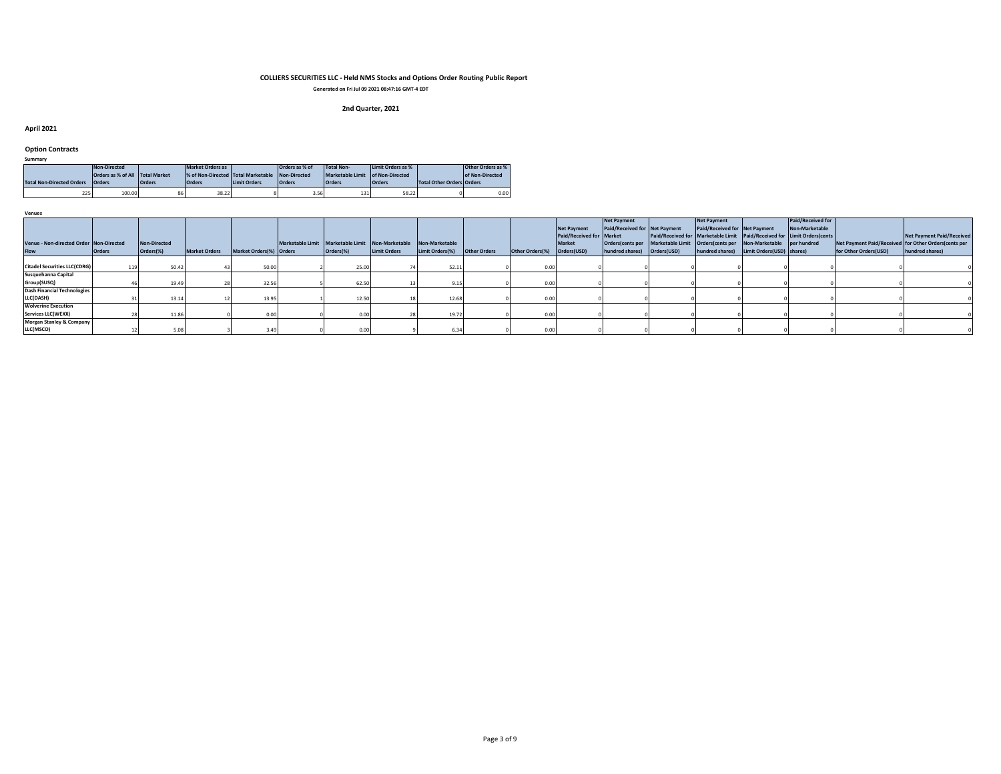**Generated on Fri Jul 09 2021 08:47:16 GMT-4 EDT**

# **2nd Quarter, 2021**

#### **April 2021**

#### **Option Contracts**

| Summary |                 |
|---------|-----------------|
|         | Alley Pilocated |

|                                  | Non-Directed                    |               | Market Orders as                     |  | Orders as % of |                                  | Limit Orders as %<br><b>Total Non-</b> |                                  | Other Orders as % |  |
|----------------------------------|---------------------------------|---------------|--------------------------------------|--|----------------|----------------------------------|----------------------------------------|----------------------------------|-------------------|--|
|                                  | Orders as % of All Total Market |               | % of Non-Directed Total Marketable   |  | Non-Directed   | Marketable Limit of Non-Directed |                                        |                                  | of Non-Directed   |  |
| <b>Total Non-Directed Orders</b> | <b>Orders</b>                   | <b>Orders</b> | <b>Limit Orders</b><br><b>Orders</b> |  | <b>Orders</b>  | <b>Orders</b>                    | <b>Orders</b>                          | <b>Total Other Orders Orders</b> |                   |  |
|                                  |                                 |               |                                      |  |                |                                  |                                        |                                  |                   |  |

| <b>Venues</b>                           |               |                     |                      |                         |                                                                 |                     |                 |                     |                 |                          |                                                                               |                               |                                                                         |                   |                                                      |                                  |
|-----------------------------------------|---------------|---------------------|----------------------|-------------------------|-----------------------------------------------------------------|---------------------|-----------------|---------------------|-----------------|--------------------------|-------------------------------------------------------------------------------|-------------------------------|-------------------------------------------------------------------------|-------------------|------------------------------------------------------|----------------------------------|
|                                         |               |                     |                      |                         |                                                                 |                     |                 |                     |                 |                          | <b>Net Payment</b>                                                            | Net Payment                   |                                                                         | Paid/Received for |                                                      |                                  |
|                                         |               |                     |                      |                         |                                                                 |                     |                 |                     |                 | <b>Net Payment</b>       | Paid/Received for Net Payment                                                 | Paid/Received for Net Payment |                                                                         | Non-Marketable    |                                                      |                                  |
|                                         |               |                     |                      |                         |                                                                 |                     |                 |                     |                 | Paid/Received for Market |                                                                               |                               | Paid/Received for Marketable Limit Paid/Received for Limit Orders(cents |                   |                                                      | <b>Net Payment Paid/Received</b> |
| Venue - Non-directed Order Non-Directed |               | <b>Non-Directed</b> |                      |                         | Marketable Limit Marketable Limit Non-Marketable Non-Marketable |                     |                 |                     |                 | <b>Market</b>            | Orders(cents per Marketable Limit Orders(cents per Non-Marketable per hundred |                               |                                                                         |                   | Net Payment Paid/Received for Other Orders(cents per |                                  |
| <b>Flow</b>                             | <b>Orders</b> | Orders(%)           | <b>Market Orders</b> | Market Orders(%) Orders | Orders(%)                                                       | <b>Limit Orders</b> | Limit Orders(%) | <b>Other Orders</b> | Other Orders(%) | Orders(USD)              | hundred shares) Orders(USD)                                                   |                               | hundred shares) Limit Orders (USD) shares)                              |                   | for Other Orders(USD)                                | hundred shares)                  |
|                                         |               |                     |                      |                         |                                                                 |                     |                 |                     |                 |                          |                                                                               |                               |                                                                         |                   |                                                      |                                  |
| <b>Citadel Securities LLC(CDRG)</b>     |               | 50.42               |                      | 50.00                   | 25.00                                                           |                     | 52.11           |                     | 0.00            |                          |                                                                               |                               |                                                                         |                   |                                                      |                                  |
| Susquehanna Capital                     |               |                     |                      |                         |                                                                 |                     |                 |                     |                 |                          |                                                                               |                               |                                                                         |                   |                                                      |                                  |
| Group(SUSQ)                             |               | 19.49               |                      | 32.56                   | 62.50                                                           |                     | 9.15            |                     | 0.00            |                          |                                                                               |                               |                                                                         |                   |                                                      |                                  |
| Dash Financial Technologies             |               |                     |                      |                         |                                                                 |                     |                 |                     |                 |                          |                                                                               |                               |                                                                         |                   |                                                      |                                  |
| LLC(DASH)                               |               | 13.14               |                      | 13.95                   | 12.50                                                           |                     | 12.68           |                     | 0.00            |                          |                                                                               |                               |                                                                         |                   |                                                      |                                  |
| <b>Wolverine Execution</b>              |               |                     |                      |                         |                                                                 |                     |                 |                     |                 |                          |                                                                               |                               |                                                                         |                   |                                                      |                                  |
| Services LLC(WEXX)                      |               | 11.86               |                      |                         |                                                                 |                     | 19.72           |                     | 0.00            |                          |                                                                               |                               |                                                                         |                   |                                                      |                                  |
| <b>Morgan Stanley &amp; Company</b>     |               |                     |                      |                         |                                                                 |                     |                 |                     |                 |                          |                                                                               |                               |                                                                         |                   |                                                      |                                  |
| LLC(MSCO)                               |               |                     |                      |                         | 0.00                                                            |                     |                 |                     | 0.00            |                          |                                                                               |                               |                                                                         |                   |                                                      |                                  |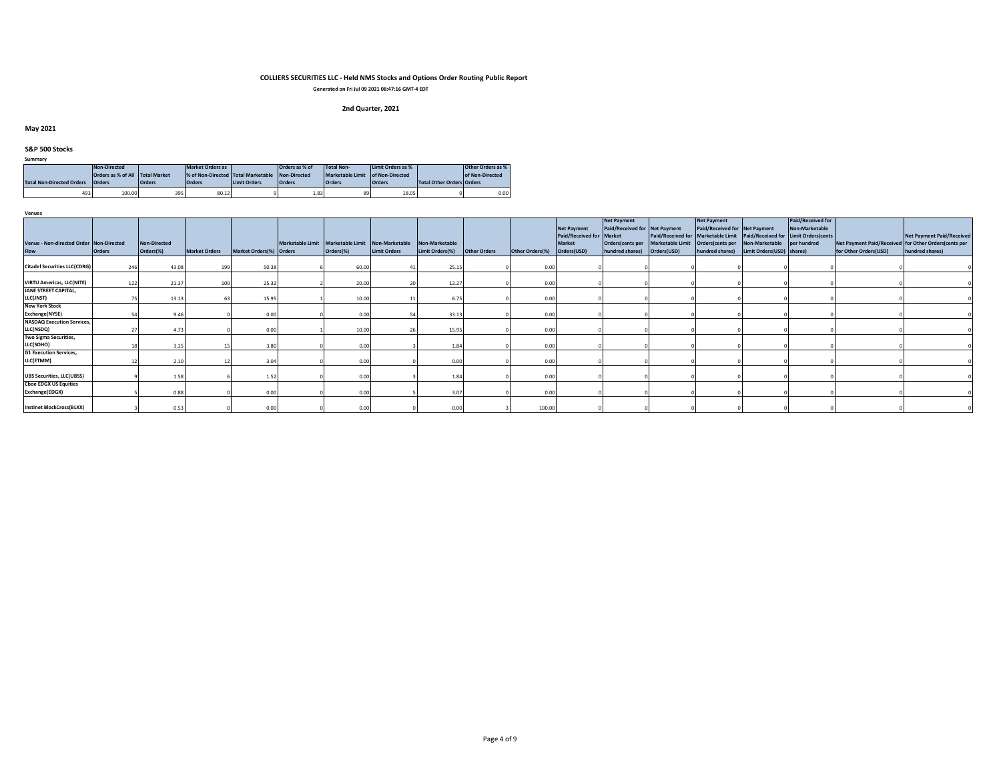**Generated on Fri Jul 09 2021 08:47:16 GMT-4 EDT**

# **2nd Quarter, 2021**

## **May 2021**

## **S&P 500 Stocks**

| Summary |
|---------|
|---------|

| Non-Directed                     |                                 |               | Market Orders as                   |                     | Orders as % of | Total Non-                       | Limit Orders as % |                                  | Other Orders as % |
|----------------------------------|---------------------------------|---------------|------------------------------------|---------------------|----------------|----------------------------------|-------------------|----------------------------------|-------------------|
|                                  | Orders as % of All Total Market |               | % of Non-Directed Total Marketable |                     | Non-Directed   | Marketable Limit of Non-Directed |                   |                                  | of Non-Directed   |
| <b>Total Non-Directed Orders</b> | <b>Orders</b>                   | <b>Orders</b> | <b>Orders</b>                      | <b>Limit Orders</b> | <b>Orders</b>  | <b>Orders</b>                    | <b>Orders</b>     | <b>Total Other Orders Orders</b> |                   |
|                                  |                                 |               |                                    |                     |                |                                  |                   |                                  |                   |

| <b>Venues</b>                                          |               |                                  |                      |                         |                                                               |                     |                                   |                     |                 |                                                                                |                                                                                                             |             |                                                                                                                                                                                                  |                           |                                     |                                                                               |                                                     |
|--------------------------------------------------------|---------------|----------------------------------|----------------------|-------------------------|---------------------------------------------------------------|---------------------|-----------------------------------|---------------------|-----------------|--------------------------------------------------------------------------------|-------------------------------------------------------------------------------------------------------------|-------------|--------------------------------------------------------------------------------------------------------------------------------------------------------------------------------------------------|---------------------------|-------------------------------------|-------------------------------------------------------------------------------|-----------------------------------------------------|
| Venue - Non-directed Order Non-Directed<br><b>Flow</b> | <b>Orders</b> | <b>Non-Directed</b><br>Orders(%) | <b>Market Orders</b> | Market Orders(%) Orders | Marketable Limit Marketable Limit Non-Marketable<br>Orders(%) | <b>Limit Orders</b> | Non-Marketable<br>Limit Orders(%) | <b>Other Orders</b> | Other Orders(%) | <b>Net Payment</b><br>Paid/Received for Market<br><b>Market</b><br>Orders(USD) | <b>Net Payment</b><br>Paid/Received for Net Payment<br>Orders(cents per Marketable Limit<br>hundred shares) | Orders(USD) | <b>Net Payment</b><br>Paid/Received for Net Payment<br>Paid/Received for Marketable Limit Paid/Received for Limit Orders(cents<br>Orders(cents per Non-Marketable per hundred<br>hundred shares) | Limit Orders(USD) shares) | Paid/Received for<br>Non-Marketable | Net Payment Paid/Received for Other Orders(cents per<br>for Other Orders(USD) | <b>Net Payment Paid/Received</b><br>hundred shares) |
| <b>Citadel Securities LLC(CDRG)</b>                    | 246           | 43.08                            | 199                  | 50.38                   | 60.00                                                         |                     | 25.15                             |                     | 0.00            |                                                                                |                                                                                                             |             |                                                                                                                                                                                                  |                           |                                     |                                                                               |                                                     |
| <b>VIRTU Americas, LLC(NITE)</b>                       | 122           | 21.37                            | 100                  | 25.32                   | 20.00                                                         |                     | 12.27                             |                     | 0.00            |                                                                                |                                                                                                             |             |                                                                                                                                                                                                  |                           |                                     |                                                                               |                                                     |
| <b>JANE STREET CAPITAL,</b><br>LLC(JNST)               |               | 13.13                            |                      | 15.95                   | 10.00                                                         |                     | 6.75                              |                     | 0.00            |                                                                                |                                                                                                             |             |                                                                                                                                                                                                  |                           |                                     |                                                                               |                                                     |
| <b>New York Stock</b><br>Exchange(NYSE)                |               | 9.46                             |                      | 0.00                    | 0.00                                                          |                     | 33.13                             |                     | 0.00            |                                                                                |                                                                                                             |             |                                                                                                                                                                                                  |                           |                                     |                                                                               |                                                     |
| <b>NASDAQ Execution Services,</b><br>LLC(NSDQ)         |               | 4.73                             |                      | 0.00                    | 10.00                                                         |                     | 15.95                             |                     | 0.00            |                                                                                |                                                                                                             |             |                                                                                                                                                                                                  |                           |                                     |                                                                               |                                                     |
| Two Sigma Securities,<br>LLC(SOHO)                     |               | 3.15                             |                      | 3.80                    | 0.00                                                          |                     | 1.84                              |                     | 0.00            |                                                                                |                                                                                                             |             |                                                                                                                                                                                                  |                           |                                     |                                                                               |                                                     |
| <b>G1 Execution Services,</b><br>LLC(ETMM)             |               | 2.10                             |                      | 3.04                    | 0.00                                                          |                     | 0.00                              |                     | 0.00            |                                                                                |                                                                                                             |             |                                                                                                                                                                                                  |                           |                                     |                                                                               |                                                     |
| <b>UBS Securities, LLC(UBSS)</b>                       |               | 1.58                             |                      | 1.52                    | 0.00                                                          |                     | 1.84                              |                     | 0.00            |                                                                                |                                                                                                             |             |                                                                                                                                                                                                  |                           |                                     |                                                                               |                                                     |
| <b>Cboe EDGX US Equities</b><br>Exchange(EDGX)         |               | 0.88                             |                      | 0.00.                   | 0.00                                                          |                     | 3.07                              |                     | 0.00            |                                                                                |                                                                                                             |             |                                                                                                                                                                                                  |                           |                                     |                                                                               |                                                     |
| <b>Instinet BlockCross(BLKX)</b>                       |               | 0.53                             |                      | 0.00                    | 0.00                                                          |                     | 0.00                              |                     | 100.00          |                                                                                |                                                                                                             |             |                                                                                                                                                                                                  |                           |                                     |                                                                               |                                                     |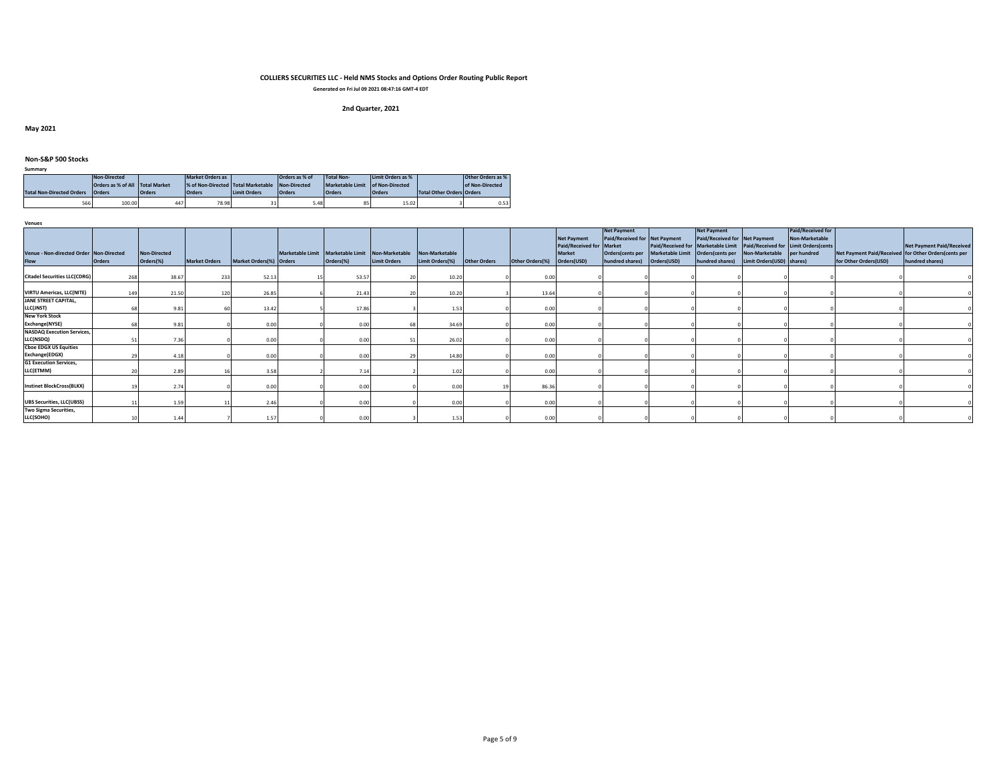**Generated on Fri Jul 09 2021 08:47:16 GMT-4 EDT**

# **2nd Quarter, 2021**

**May 2021**

#### **Non-S&P 500 Stocks**

| -----------                      |                                 |               |                                    |                     |                |                                  |                   |                           |                   |
|----------------------------------|---------------------------------|---------------|------------------------------------|---------------------|----------------|----------------------------------|-------------------|---------------------------|-------------------|
| Non-Directed                     |                                 |               | Market Orders as                   |                     | Orders as % of | Total Non-                       | Limit Orders as % |                           | Other Orders as % |
|                                  | Orders as % of All Total Market |               | % of Non-Directed Total Marketable |                     | Non-Directed   | Marketable Limit of Non-Directed |                   |                           | of Non-Directed   |
| <b>Total Non-Directed Orders</b> | <b>Orders</b>                   | <b>Orders</b> | <b>Orders</b>                      | <b>Limit Orders</b> | <b>Orders</b>  | <b>Orders</b>                    | <b>Orders</b>     | Total Other Orders Orders |                   |
|                                  | 566<br>100.00<br>447            |               | 78.98                              | 31                  | 5.48           | 85                               | 15.02             |                           | 0.53              |

**Venues**

**Summary**

| Venue - Non-directed Order Non-Directed        |               | Non-Directed |                      |                         | Marketable Limit Marketable Limit Non-Marketable |                     | Non-Marketable  |                     |                 | <b>Net Payment</b><br>Paid/Received for Market<br><b>Market</b> | <b>Net Payment</b><br>Paid/Received for Net Payment<br>Orders(cents per | <b>Marketable Limit</b> | <b>Net Payment</b><br>Paid/Received for Net Payment<br>Orders(cents per Non-Marketable | Paid/Received for Marketable Limit Paid/Received for Limit Orders(cents | <b>Paid/Received for</b><br>Non-Marketable<br>per hundred | Net Payment Paid/Received for Other Orders(cents per | <b>Net Payment Paid/Received</b> |
|------------------------------------------------|---------------|--------------|----------------------|-------------------------|--------------------------------------------------|---------------------|-----------------|---------------------|-----------------|-----------------------------------------------------------------|-------------------------------------------------------------------------|-------------------------|----------------------------------------------------------------------------------------|-------------------------------------------------------------------------|-----------------------------------------------------------|------------------------------------------------------|----------------------------------|
| <b>Flow</b>                                    | <b>Orders</b> | Orders(%)    | <b>Market Orders</b> | Market Orders(%) Orders | Orders(%)                                        | <b>Limit Orders</b> | Limit Orders(%) | <b>Other Orders</b> | Other Orders(%) | Orders(USD)                                                     | hundred shares)                                                         | Orders(USD)             | hundred shares)                                                                        | Limit Orders(USD) shares)                                               |                                                           | for Other Orders(USD)                                | hundred shares)                  |
| <b>Citadel Securities LLC(CDRG)</b>            | 268           | 38.67        | 233                  | 52.13                   | 53.57                                            |                     | 10.20           |                     | 0.00            |                                                                 |                                                                         |                         |                                                                                        |                                                                         |                                                           |                                                      |                                  |
| <b>VIRTU Americas, LLC(NITE)</b>               | 149           | 21.50        | 120                  | 26.85                   | 21.4                                             |                     | 10.20           |                     | 13.64           |                                                                 |                                                                         |                         |                                                                                        |                                                                         |                                                           |                                                      |                                  |
| <b>JANE STREET CAPITAL,</b><br>LLC(JNST)       |               | 9.81         |                      | 13.42                   | 17.86                                            |                     | 1.53            |                     | 0.00            |                                                                 |                                                                         |                         |                                                                                        |                                                                         |                                                           |                                                      |                                  |
| <b>New York Stock</b><br>Exchange(NYSE)        |               | 9.81         |                      | 0.00                    | 0.00                                             |                     | 34.69           |                     | 0.00            |                                                                 |                                                                         |                         |                                                                                        |                                                                         |                                                           |                                                      |                                  |
| <b>NASDAQ Execution Services,</b><br>LLC(NSDQ) |               |              |                      | 0.00                    | 0.00                                             |                     | 26.02           |                     | 0.00            |                                                                 |                                                                         |                         |                                                                                        |                                                                         |                                                           |                                                      |                                  |
| <b>Choe EDGX US Equities</b><br>Exchange(EDGX) |               | 4.18         |                      | 0.00                    | 0.00                                             |                     | 14.8            |                     | 0.00            |                                                                 |                                                                         |                         |                                                                                        |                                                                         |                                                           |                                                      |                                  |
| <b>G1 Execution Services,</b><br>LLC(ETMM)     |               | 2.89         |                      | 3.58                    | 7.14                                             |                     | 1.02            |                     | 0.00            |                                                                 |                                                                         |                         |                                                                                        |                                                                         |                                                           |                                                      |                                  |
| <b>Instinet BlockCross(BLKX)</b>               |               | 2.74         |                      | 0.00                    | 0.00                                             |                     | 0.00            |                     | 86.36           |                                                                 |                                                                         |                         |                                                                                        |                                                                         |                                                           |                                                      |                                  |
| <b>UBS Securities, LLC(UBSS)</b>               |               | 1.59         |                      | 2.46                    | 0.00                                             |                     | 0.00            |                     | 0.00            |                                                                 |                                                                         |                         |                                                                                        |                                                                         |                                                           |                                                      |                                  |
| Two Sigma Securities,<br>LLC(SOHO)             |               | 1.44         |                      | 1.57                    | 0.00                                             |                     | 1.53            |                     | 0.00            |                                                                 |                                                                         |                         |                                                                                        |                                                                         |                                                           |                                                      |                                  |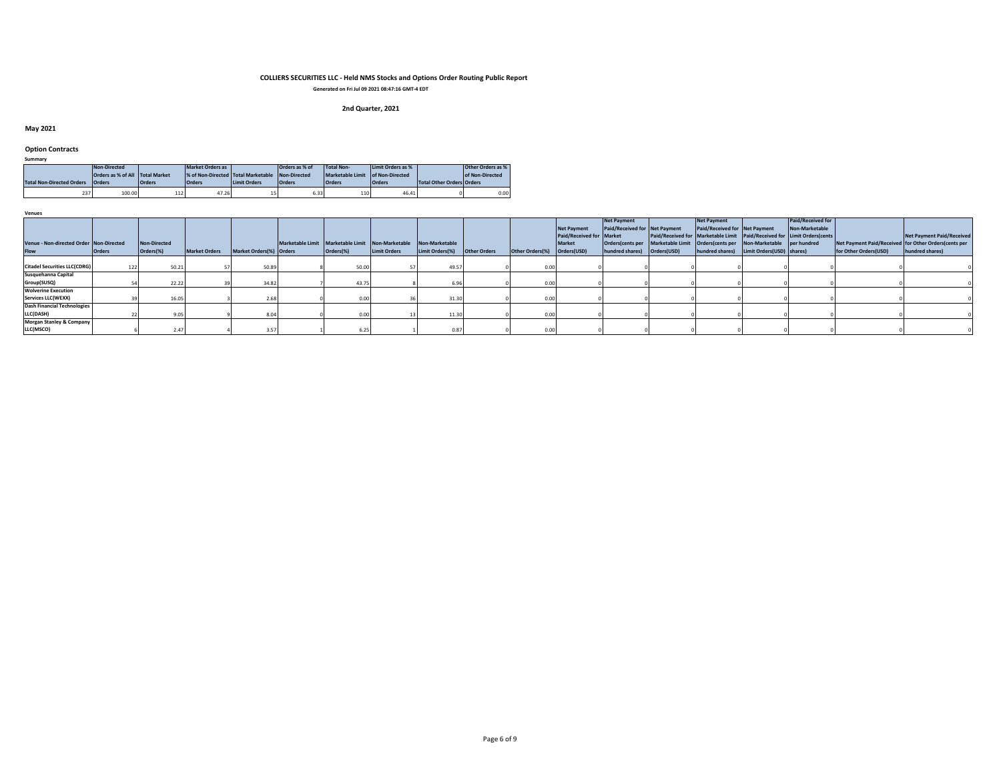**Generated on Fri Jul 09 2021 08:47:16 GMT-4 EDT**

# **2nd Quarter, 2021**

## **May 2021**

#### **Option Contracts**

|                                  | Non-Directed  |               | Market Orders as                                |                     | Orders as % of | <b>Total Non-</b>                | Limit Orders as % |                                  | Other Orders as % |
|----------------------------------|---------------|---------------|-------------------------------------------------|---------------------|----------------|----------------------------------|-------------------|----------------------------------|-------------------|
| Orders as % of All Total Market  |               |               | % of Non-Directed Total Marketable Non-Directed |                     |                | Marketable Limit of Non-Directed |                   |                                  | of Non-Directed   |
| <b>Total Non-Directed Orders</b> | <b>Orders</b> | <b>Orders</b> | <b>Orders</b>                                   | <b>Limit Orders</b> | <b>Orders</b>  | <b>Orders</b>                    | <b>Orders</b>     | <b>Total Other Orders Orders</b> |                   |
|                                  |               |               |                                                 |                     |                |                                  |                   |                                  |                   |

| <b>Venues</b> |                                         |               |                     |                      |                         |                                                  |                     |                 |              |                 |                          |                                                                               |                               |                                                                         |                   |                                                       |                                  |
|---------------|-----------------------------------------|---------------|---------------------|----------------------|-------------------------|--------------------------------------------------|---------------------|-----------------|--------------|-----------------|--------------------------|-------------------------------------------------------------------------------|-------------------------------|-------------------------------------------------------------------------|-------------------|-------------------------------------------------------|----------------------------------|
|               |                                         |               |                     |                      |                         |                                                  |                     |                 |              |                 |                          | Net Payment                                                                   | <b>Net Payment</b>            |                                                                         | Paid/Received for |                                                       |                                  |
|               |                                         |               |                     |                      |                         |                                                  |                     |                 |              |                 | <b>Net Payment</b>       | Paid/Received for Net Payment                                                 | Paid/Received for Net Payment |                                                                         | Non-Marketable    |                                                       |                                  |
|               |                                         |               |                     |                      |                         |                                                  |                     |                 |              |                 | Paid/Received for Market |                                                                               |                               | Paid/Received for Marketable Limit Paid/Received for Limit Orders(cents |                   |                                                       | <b>Net Payment Paid/Received</b> |
|               | Venue - Non-directed Order Non-Directed |               | <b>Non-Directed</b> |                      |                         | Marketable Limit Marketable Limit Non-Marketable |                     | Non-Marketable  |              |                 | <b>Market</b>            | Orders(cents per Marketable Limit Orders(cents per Non-Marketable per hundred |                               |                                                                         |                   | Net Payment Paid/Received for Other Orders (cents per |                                  |
| <b>Flow</b>   |                                         | <b>Orders</b> | Orders(%)           | <b>Market Orders</b> | Market Orders(%) Orders | Orders(%)                                        | <b>Limit Orders</b> | Limit Orders(%) | Other Orders | Other Orders(%) | Orders(USD)              | hundred shares) Orders(USD)                                                   |                               | hundred shares) Limit Orders (USD) shares)                              |                   | for Other Orders(USD)                                 | hundred shares)                  |
|               |                                         |               |                     |                      |                         |                                                  |                     |                 |              |                 |                          |                                                                               |                               |                                                                         |                   |                                                       |                                  |
|               | <b>Citadel Securities LLC(CDRG)</b>     | 122           | 50.21               |                      | 50.89                   | 50.00                                            |                     | 49.57           |              | 0.00            |                          |                                                                               |                               |                                                                         |                   |                                                       |                                  |
|               | Susquehanna Capital                     |               |                     |                      |                         |                                                  |                     |                 |              |                 |                          |                                                                               |                               |                                                                         |                   |                                                       |                                  |
|               | Group(SUSQ)                             |               | 22.22               |                      | 34.82                   | 43.75                                            |                     | 6.96            |              |                 |                          |                                                                               |                               |                                                                         |                   |                                                       |                                  |
|               | <b>Wolverine Execution</b>              |               |                     |                      |                         |                                                  |                     |                 |              |                 |                          |                                                                               |                               |                                                                         |                   |                                                       |                                  |
|               | Services LLC(WEXX)                      |               | 16.05               |                      | 2.68                    |                                                  |                     | 31.30           |              | 0.00            |                          |                                                                               |                               |                                                                         |                   |                                                       |                                  |
|               | <b>Dash Financial Technologies</b>      |               |                     |                      |                         |                                                  |                     |                 |              |                 |                          |                                                                               |                               |                                                                         |                   |                                                       |                                  |
| LLC(DASH)     |                                         |               | 9.05                |                      |                         |                                                  |                     | 11.30           |              | 0.00            |                          |                                                                               |                               |                                                                         |                   |                                                       |                                  |
|               | <b>Morgan Stanley &amp; Company</b>     |               |                     |                      |                         |                                                  |                     |                 |              |                 |                          |                                                                               |                               |                                                                         |                   |                                                       |                                  |
|               | LLC(MSCO)                               |               |                     |                      |                         |                                                  |                     | 0.87            |              |                 |                          |                                                                               |                               |                                                                         |                   |                                                       |                                  |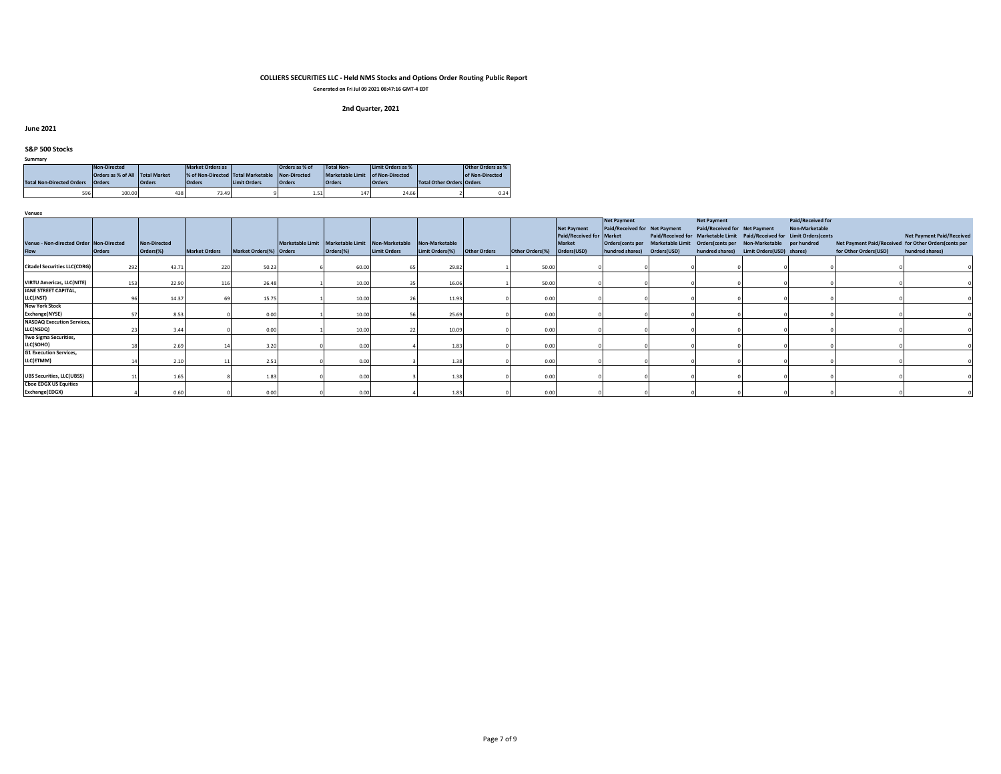**Generated on Fri Jul 09 2021 08:47:16 GMT-4 EDT**

# **2nd Quarter, 2021**

#### **June 2021**

#### **S&P 500 Stocks**

| Summary                          |                                 |               |                                    |                     |                |                   |                   |                                  |                   |
|----------------------------------|---------------------------------|---------------|------------------------------------|---------------------|----------------|-------------------|-------------------|----------------------------------|-------------------|
|                                  | Non-Directed                    |               | <b>Market Orders as</b>            |                     | Orders as % of | <b>Total Non-</b> | Limit Orders as % |                                  | Other Orders as % |
|                                  | Orders as % of All Total Market |               | % of Non-Directed Total Marketable |                     | Non-Directed   | Marketable Limit  | of Non-Directed   |                                  | of Non-Directed   |
| <b>Total Non-Directed Orders</b> | <b>Orders</b>                   | <b>Orders</b> | <b>Orders</b>                      | <b>Limit Orders</b> | <b>Orders</b>  | <b>Orders</b>     | <b>Orders</b>     | <b>Total Other Orders Orders</b> |                   |
| 596                              | 100.00                          | 438           | 73.49                              |                     | 1.51           | 147               | 24.66             |                                  | 0.34              |

| Venues                                                 |               |                                  |                      |                         |                                                                   |                     |                                   |                     |                 |                                                                                |                                                                                                        |                                                     |                                                                                                            |                                                                                                                |                       |                                                                                                             |
|--------------------------------------------------------|---------------|----------------------------------|----------------------|-------------------------|-------------------------------------------------------------------|---------------------|-----------------------------------|---------------------|-----------------|--------------------------------------------------------------------------------|--------------------------------------------------------------------------------------------------------|-----------------------------------------------------|------------------------------------------------------------------------------------------------------------|----------------------------------------------------------------------------------------------------------------|-----------------------|-------------------------------------------------------------------------------------------------------------|
| Venue - Non-directed Order Non-Directed<br><b>Flow</b> | <b>Orders</b> | <b>Non-Directed</b><br>Orders(%) | <b>Market Orders</b> | Market Orders(%) Orders | Marketable Limit   Marketable Limit   Non-Marketable<br>Orders(%) | <b>Limit Orders</b> | Non-Marketable<br>Limit Orders(%) | <b>Other Orders</b> | Other Orders(%) | <b>Net Payment</b><br>Paid/Received for Market<br><b>Market</b><br>Orders(USD) | <b>Net Payment</b><br>Paid/Received for Net Payment<br>Orders(cents per<br>hundred shares) Orders(USD) | <b>Net Payment</b><br>Paid/Received for Net Payment | Marketable Limit Orders(cents per Non-Marketable per hundred<br>hundred shares) Limit Orders (USD) shares) | Paid/Received for<br>Non-Marketable<br>Paid/Received for Marketable Limit Paid/Received for Limit Orders(cents | for Other Orders(USD) | <b>Net Payment Paid/Received</b><br>Net Payment Paid/Received for Other Orders(cents per<br>hundred shares) |
| <b>Citadel Securities LLC(CDRG)</b>                    | 292           | 43.71                            | 220                  | 50.23                   | 60.00                                                             |                     | 29.82                             |                     | 50.00           |                                                                                |                                                                                                        |                                                     |                                                                                                            |                                                                                                                |                       |                                                                                                             |
| <b>VIRTU Americas, LLC(NITE)</b>                       | 153           | 22.90                            | 116                  | 26.48                   | 10.00                                                             |                     | 16.06                             |                     | 50.00           |                                                                                |                                                                                                        |                                                     |                                                                                                            |                                                                                                                |                       | $\overline{0}$                                                                                              |
| <b>JANE STREET CAPITAL,</b><br>LLC(JNST)               |               | 14.37                            |                      | 15.75                   | 10.00                                                             |                     | 11.93                             |                     | 0.00            |                                                                                |                                                                                                        |                                                     |                                                                                                            |                                                                                                                |                       |                                                                                                             |
| <b>New York Stock</b><br>Exchange(NYSE)                |               | 8.53                             |                      | 0.00                    | 10.00                                                             |                     | 25.69                             |                     | 0.00            |                                                                                |                                                                                                        |                                                     |                                                                                                            |                                                                                                                |                       |                                                                                                             |
| <b>NASDAQ Execution Services,</b><br>LLC(NSDQ)         |               |                                  |                      | 0.00                    | 10.00                                                             |                     | 10.09                             |                     | 0.00            |                                                                                |                                                                                                        |                                                     |                                                                                                            |                                                                                                                |                       |                                                                                                             |
| Two Sigma Securities,<br>LLC(SOHO)                     |               | 2.69                             |                      | 3.20                    | 0.00                                                              |                     | 1.83                              |                     | 0.00            |                                                                                |                                                                                                        |                                                     |                                                                                                            |                                                                                                                |                       |                                                                                                             |
| <b>G1 Execution Services,</b><br>LLC(ETMM)             |               | 2.10                             |                      | 2.51                    | 0.00                                                              |                     | 1.38                              |                     | 0.00            |                                                                                |                                                                                                        |                                                     |                                                                                                            |                                                                                                                |                       |                                                                                                             |
| <b>UBS Securities, LLC(UBSS)</b>                       |               | 1.65                             |                      | 1.83                    | 0.00                                                              |                     | 1.38                              |                     | 0.00            |                                                                                |                                                                                                        |                                                     |                                                                                                            |                                                                                                                |                       |                                                                                                             |
| <b>Choe EDGX US Equities</b><br>Exchange(EDGX)         |               | 0.60                             |                      | 0.00                    | 0.00                                                              |                     | 1.83                              |                     | 0.00            |                                                                                |                                                                                                        |                                                     |                                                                                                            |                                                                                                                |                       |                                                                                                             |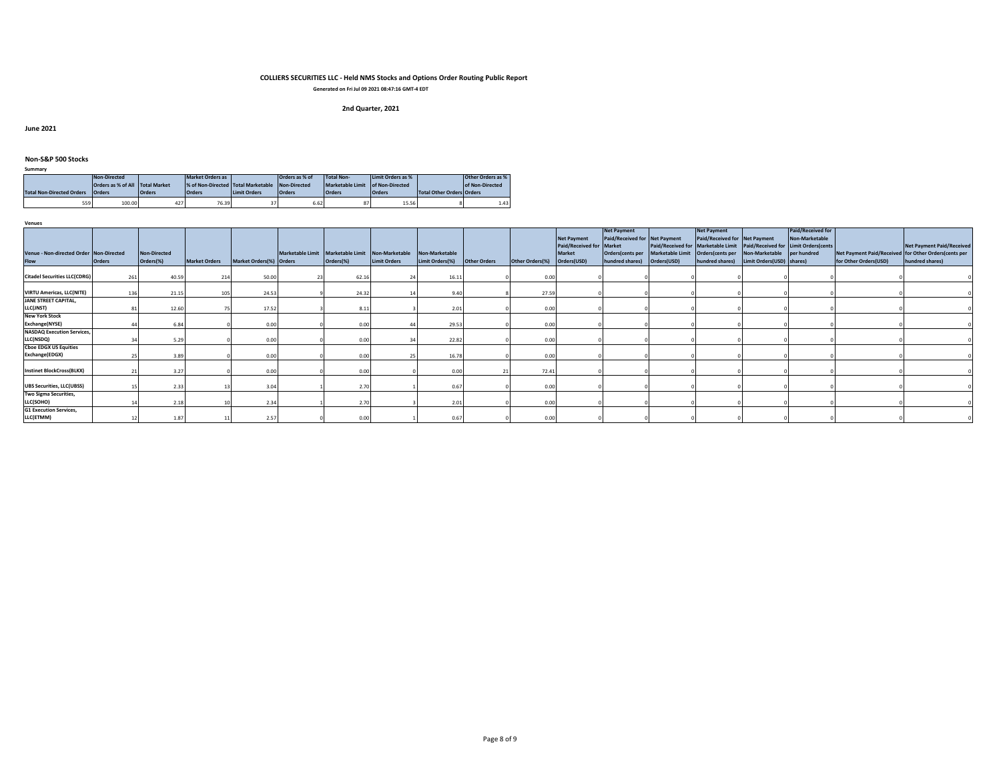**Generated on Fri Jul 09 2021 08:47:16 GMT-4 EDT**

# **2nd Quarter, 2021**

**June 2021**

### **Non-S&P 500 Stocks**

| ____                             |               |               |                                    |                     |                |                                  |                   |                                  |                   |
|----------------------------------|---------------|---------------|------------------------------------|---------------------|----------------|----------------------------------|-------------------|----------------------------------|-------------------|
|                                  | Non-Directed  |               | Market Orders as                   |                     | Orders as % of | <b>Total Non-</b>                | Limit Orders as % |                                  | Other Orders as % |
| Orders as % of All Total Market  |               |               | % of Non-Directed Total Marketable |                     | Non-Directed   | Marketable Limit of Non-Directed |                   |                                  | of Non-Directed   |
| <b>Total Non-Directed Orders</b> | <b>Orders</b> | <b>Orders</b> | <b>Orders</b>                      | <b>Limit Orders</b> | <b>Orders</b>  | <b>Orders</b>                    | <b>Orders</b>     | <b>Total Other Orders Orders</b> |                   |
| 559<br>100.00                    |               | 427           | 76.39                              |                     | 6.62           |                                  | 15.56             |                                  | 1.43              |

**Venues**

**Summary**

|                                         |               |                     |                      |                         |                                                  |                     |                 |                     |                 |                          | <b>Net Payment</b>            |             | <b>Net Payment</b>                               |                                                                         | Paid/Received for |                                                      |                                  |
|-----------------------------------------|---------------|---------------------|----------------------|-------------------------|--------------------------------------------------|---------------------|-----------------|---------------------|-----------------|--------------------------|-------------------------------|-------------|--------------------------------------------------|-------------------------------------------------------------------------|-------------------|------------------------------------------------------|----------------------------------|
|                                         |               |                     |                      |                         |                                                  |                     |                 |                     |                 | <b>Net Payment</b>       | Paid/Received for Net Payment |             | Paid/Received for Net Payment                    |                                                                         | Non-Marketable    |                                                      |                                  |
|                                         |               |                     |                      |                         |                                                  |                     |                 |                     |                 | Paid/Received for Market |                               |             |                                                  | Paid/Received for Marketable Limit Paid/Received for Limit Orders(cents |                   |                                                      | <b>Net Payment Paid/Received</b> |
| Venue - Non-directed Order Non-Directed |               | <b>Non-Directed</b> |                      |                         | Marketable Limit Marketable Limit Non-Marketable |                     | Non-Marketable  |                     |                 | <b>Market</b>            | Orders(cents per              |             | Marketable Limit Orders(cents per Non-Marketable |                                                                         | per hundred       | Net Payment Paid/Received for Other Orders(cents per |                                  |
| <b>Flow</b>                             | <b>Orders</b> | Orders(%)           | <b>Market Orders</b> | Market Orders(%) Orders | Orders(%)                                        | <b>Limit Orders</b> | Limit Orders(%) | <b>Other Orders</b> | Other Orders(%) | Orders(USD)              | hundred shares)               | Orders(USD) |                                                  | hundred shares) Limit Orders (USD) shares)                              |                   | for Other Orders(USD)                                | hundred shares)                  |
|                                         |               |                     |                      |                         |                                                  |                     |                 |                     |                 |                          |                               |             |                                                  |                                                                         |                   |                                                      |                                  |
| <b>Citadel Securities LLC(CDRG)</b>     | 261           | 40.59               |                      | 50.00                   | 62.16                                            |                     | 16.11           |                     | 0.00            |                          |                               |             |                                                  |                                                                         |                   |                                                      |                                  |
|                                         |               |                     |                      |                         |                                                  |                     |                 |                     |                 |                          |                               |             |                                                  |                                                                         |                   |                                                      |                                  |
| <b>VIRTU Americas, LLC(NITE)</b>        | 136           | 21.15               |                      | 24.53                   | 24.32                                            |                     | 9.40            |                     | 27.59           |                          |                               |             |                                                  |                                                                         |                   |                                                      |                                  |
| <b>JANE STREET CAPITAL,</b>             |               |                     |                      |                         |                                                  |                     |                 |                     |                 |                          |                               |             |                                                  |                                                                         |                   |                                                      |                                  |
| LLC(JNST)                               |               | 12.60               |                      | 17.52                   | 8.11                                             |                     | 2.01            |                     | 0.00            |                          |                               |             |                                                  |                                                                         |                   |                                                      |                                  |
| <b>New York Stock</b>                   |               |                     |                      |                         |                                                  |                     |                 |                     |                 |                          |                               |             |                                                  |                                                                         |                   |                                                      |                                  |
| Exchange(NYSE)                          |               | 6.84                |                      | 0.00                    | 0.00                                             |                     | 29.53           |                     | 0.00            |                          |                               |             |                                                  |                                                                         |                   |                                                      |                                  |
| <b>NASDAQ Execution Services,</b>       |               |                     |                      |                         |                                                  |                     |                 |                     |                 |                          |                               |             |                                                  |                                                                         |                   |                                                      |                                  |
| LLC(NSDQ)                               |               | 5.29                |                      | 0.00                    | 0.00                                             |                     | 22.82           |                     | 0.00            |                          |                               |             |                                                  |                                                                         |                   |                                                      |                                  |
| <b>Cboe EDGX US Equities</b>            |               |                     |                      |                         |                                                  |                     |                 |                     |                 |                          |                               |             |                                                  |                                                                         |                   |                                                      |                                  |
| Exchange(EDGX)                          |               | 3.89                |                      | 0.00                    | 0.00                                             |                     | 16.78           |                     | 0.00            |                          |                               |             |                                                  |                                                                         |                   |                                                      |                                  |
|                                         |               |                     |                      |                         |                                                  |                     |                 |                     |                 |                          |                               |             |                                                  |                                                                         |                   |                                                      |                                  |
| <b>Instinet BlockCross(BLKX)</b>        |               | 3.27                |                      | 0.00                    | 0.00                                             |                     | 0.00            |                     | 72.41           |                          |                               |             |                                                  |                                                                         |                   |                                                      |                                  |
|                                         |               |                     |                      |                         |                                                  |                     |                 |                     |                 |                          |                               |             |                                                  |                                                                         |                   |                                                      |                                  |
| <b>UBS Securities, LLC(UBSS)</b>        |               | 2.33                |                      | 3.04                    | 2.70                                             |                     | 0.67            |                     | 0.00            |                          |                               |             |                                                  |                                                                         |                   |                                                      |                                  |
| Two Sigma Securities,                   |               |                     |                      |                         |                                                  |                     |                 |                     |                 |                          |                               |             |                                                  |                                                                         |                   |                                                      |                                  |
| LLC(SOHO)                               |               | 2.18                |                      | 2.34                    | 2.70                                             |                     | 2.01            |                     | 0.00            |                          |                               |             |                                                  |                                                                         |                   |                                                      |                                  |
| <b>G1 Execution Services,</b>           |               |                     |                      |                         |                                                  |                     |                 |                     |                 |                          |                               |             |                                                  |                                                                         |                   |                                                      |                                  |
| LLC(ETMM)                               |               | 1.87                |                      | 2.57                    | 0.00                                             |                     | 0.67            |                     | 0.00            |                          |                               |             |                                                  |                                                                         |                   |                                                      |                                  |